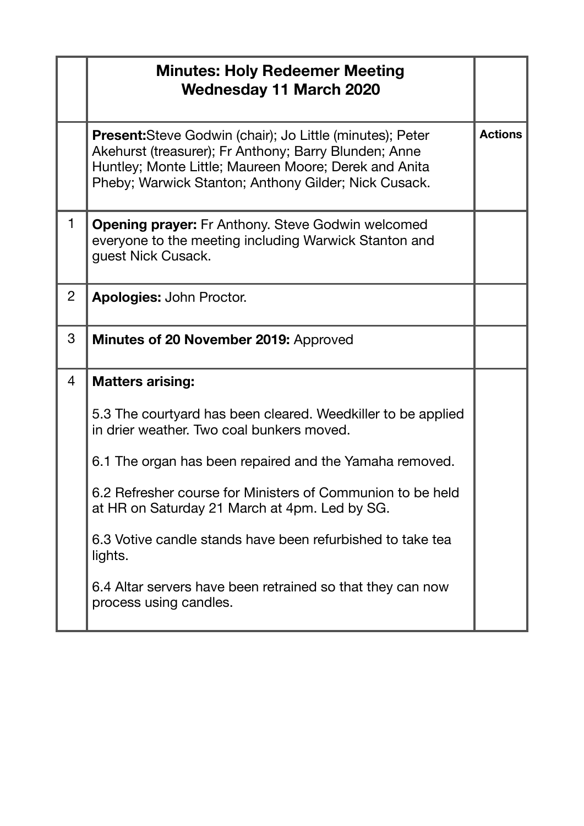|                | <b>Minutes: Holy Redeemer Meeting</b><br><b>Wednesday 11 March 2020</b>                                                                                                                                                                    |                |
|----------------|--------------------------------------------------------------------------------------------------------------------------------------------------------------------------------------------------------------------------------------------|----------------|
|                | <b>Present:</b> Steve Godwin (chair); Jo Little (minutes); Peter<br>Akehurst (treasurer); Fr Anthony; Barry Blunden; Anne<br>Huntley; Monte Little; Maureen Moore; Derek and Anita<br>Pheby; Warwick Stanton; Anthony Gilder; Nick Cusack. | <b>Actions</b> |
| $\mathbf{1}$   | <b>Opening prayer:</b> Fr Anthony. Steve Godwin welcomed<br>everyone to the meeting including Warwick Stanton and<br>guest Nick Cusack.                                                                                                    |                |
| $\overline{2}$ | <b>Apologies: John Proctor.</b>                                                                                                                                                                                                            |                |
| 3              | <b>Minutes of 20 November 2019: Approved</b>                                                                                                                                                                                               |                |
| $\overline{4}$ | <b>Matters arising:</b>                                                                                                                                                                                                                    |                |
|                | 5.3 The courtyard has been cleared. Weedkiller to be applied<br>in drier weather. Two coal bunkers moved.                                                                                                                                  |                |
|                | 6.1 The organ has been repaired and the Yamaha removed.                                                                                                                                                                                    |                |
|                | 6.2 Refresher course for Ministers of Communion to be held<br>at HR on Saturday 21 March at 4pm. Led by SG.                                                                                                                                |                |
|                | 6.3 Votive candle stands have been refurbished to take tea<br>lights.                                                                                                                                                                      |                |
|                | 6.4 Altar servers have been retrained so that they can now<br>process using candles.                                                                                                                                                       |                |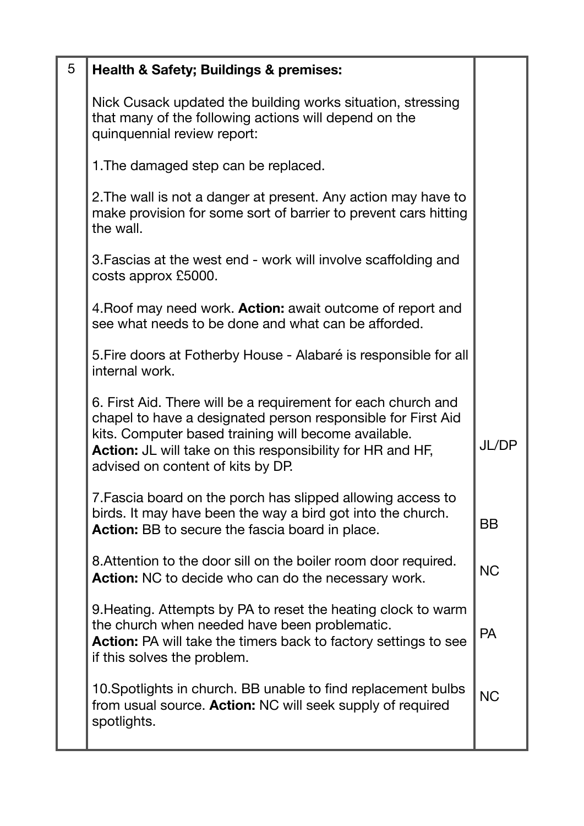| 5 | <b>Health &amp; Safety; Buildings &amp; premises:</b>                                                                                                                                                                                                                                           |           |
|---|-------------------------------------------------------------------------------------------------------------------------------------------------------------------------------------------------------------------------------------------------------------------------------------------------|-----------|
|   |                                                                                                                                                                                                                                                                                                 |           |
|   | Nick Cusack updated the building works situation, stressing<br>that many of the following actions will depend on the<br>quinquennial review report:                                                                                                                                             |           |
|   | 1. The damaged step can be replaced.                                                                                                                                                                                                                                                            |           |
|   | 2. The wall is not a danger at present. Any action may have to<br>make provision for some sort of barrier to prevent cars hitting<br>the wall.                                                                                                                                                  |           |
|   | 3. Fascias at the west end - work will involve scaffolding and<br>costs approx £5000.                                                                                                                                                                                                           |           |
|   | 4. Roof may need work. <b>Action:</b> await outcome of report and<br>see what needs to be done and what can be afforded.                                                                                                                                                                        |           |
|   | 5. Fire doors at Fotherby House - Alabaré is responsible for all<br>internal work.                                                                                                                                                                                                              |           |
|   | 6. First Aid. There will be a requirement for each church and<br>chapel to have a designated person responsible for First Aid<br>kits. Computer based training will become available.<br><b>Action:</b> JL will take on this responsibility for HR and HF,<br>advised on content of kits by DP. | JL/DP     |
|   | 7. Fascia board on the porch has slipped allowing access to<br>birds. It may have been the way a bird got into the church.<br><b>Action:</b> BB to secure the fascia board in place.                                                                                                            | <b>BB</b> |
|   | 8. Attention to the door sill on the boiler room door required.<br><b>Action:</b> NC to decide who can do the necessary work.                                                                                                                                                                   | <b>NC</b> |
|   | 9. Heating. Attempts by PA to reset the heating clock to warm<br>the church when needed have been problematic.<br><b>Action:</b> PA will take the timers back to factory settings to see<br>if this solves the problem.                                                                         | <b>PA</b> |
|   | 10. Spotlights in church. BB unable to find replacement bulbs<br>from usual source. Action: NC will seek supply of required<br>spotlights.                                                                                                                                                      | <b>NC</b> |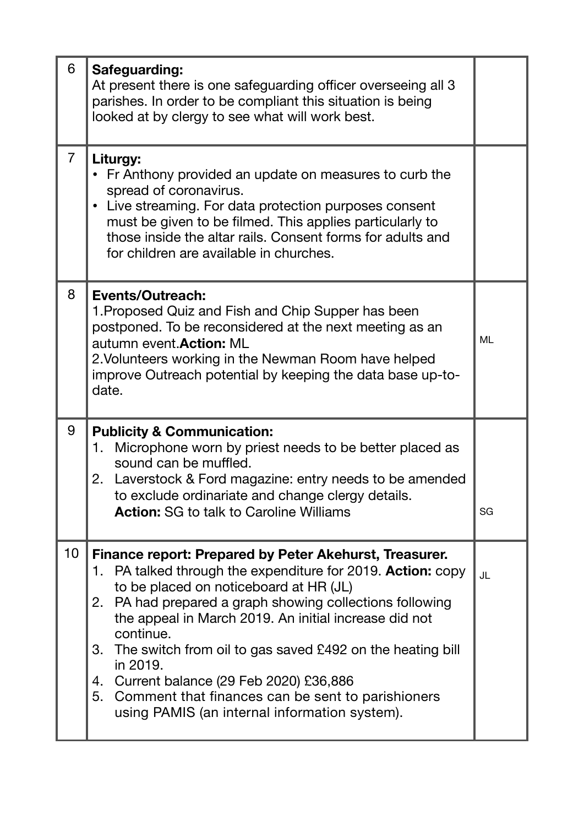| 6               | Safeguarding:<br>At present there is one safeguarding officer overseeing all 3<br>parishes. In order to be compliant this situation is being<br>looked at by clergy to see what will work best.                                                                                                                                                                                                                                                                                                                                    |           |
|-----------------|------------------------------------------------------------------------------------------------------------------------------------------------------------------------------------------------------------------------------------------------------------------------------------------------------------------------------------------------------------------------------------------------------------------------------------------------------------------------------------------------------------------------------------|-----------|
| $\overline{7}$  | Liturgy:<br>• Fr Anthony provided an update on measures to curb the<br>spread of coronavirus.<br>Live streaming. For data protection purposes consent<br>$\bullet$<br>must be given to be filmed. This applies particularly to<br>those inside the altar rails. Consent forms for adults and<br>for children are available in churches.                                                                                                                                                                                            |           |
| 8               | Events/Outreach:<br>1. Proposed Quiz and Fish and Chip Supper has been<br>postponed. To be reconsidered at the next meeting as an<br>autumn event. Action: ML<br>2. Volunteers working in the Newman Room have helped<br>improve Outreach potential by keeping the data base up-to-<br>date.                                                                                                                                                                                                                                       | <b>ML</b> |
| 9               | <b>Publicity &amp; Communication:</b><br>Microphone worn by priest needs to be better placed as<br>1.<br>sound can be muffled.<br>2. Laverstock & Ford magazine: entry needs to be amended<br>to exclude ordinariate and change clergy details.<br><b>Action:</b> SG to talk to Caroline Williams                                                                                                                                                                                                                                  | SG        |
| 10 <sub>1</sub> | Finance report: Prepared by Peter Akehurst, Treasurer.<br>1. PA talked through the expenditure for 2019. Action: copy<br>to be placed on noticeboard at HR (JL)<br>2. PA had prepared a graph showing collections following<br>the appeal in March 2019. An initial increase did not<br>continue.<br>3. The switch from oil to gas saved £492 on the heating bill<br>in 2019.<br>4. Current balance (29 Feb 2020) £36,886<br>5. Comment that finances can be sent to parishioners<br>using PAMIS (an internal information system). | JL        |